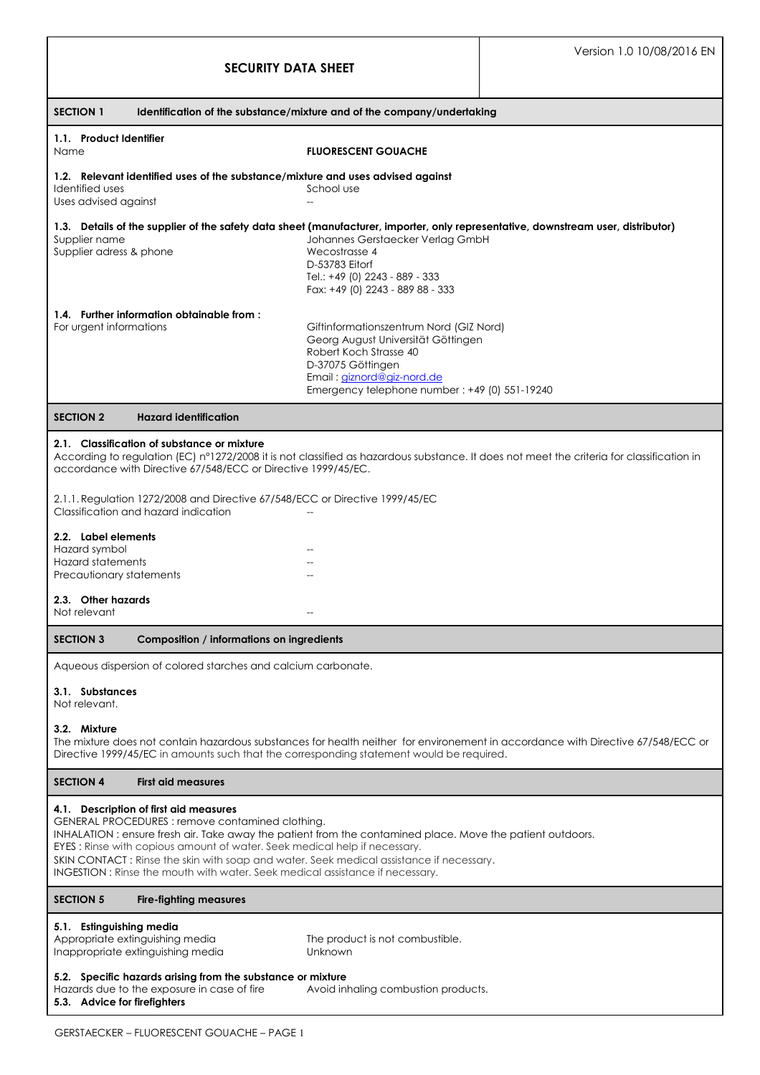| <b>SECURITY DATA SHEET</b>                                                                                                                                                                                                                                                                                                                                                                                                                                     |                                                                                                                                                                                                             | Version 1.0 10/08/2016 EN |
|----------------------------------------------------------------------------------------------------------------------------------------------------------------------------------------------------------------------------------------------------------------------------------------------------------------------------------------------------------------------------------------------------------------------------------------------------------------|-------------------------------------------------------------------------------------------------------------------------------------------------------------------------------------------------------------|---------------------------|
| <b>SECTION 1</b><br>Identification of the substance/mixture and of the company/undertaking                                                                                                                                                                                                                                                                                                                                                                     |                                                                                                                                                                                                             |                           |
| 1.1. Product Identifier<br>Name                                                                                                                                                                                                                                                                                                                                                                                                                                | <b>FLUORESCENT GOUACHE</b>                                                                                                                                                                                  |                           |
| 1.2. Relevant identified uses of the substance/mixture and uses advised against<br>Identified uses<br>Uses advised against                                                                                                                                                                                                                                                                                                                                     | School use                                                                                                                                                                                                  |                           |
| 1.3. Details of the supplier of the safety data sheet (manufacturer, importer, only representative, downstream user, distributor)<br>Supplier name<br>Supplier adress & phone                                                                                                                                                                                                                                                                                  | Johannes Gerstaecker Verlag GmbH<br>Wecostrasse 4<br>D-53783 Eitorf<br>Tel.: +49 (0) 2243 - 889 - 333<br>Fax: +49 (0) 2243 - 889 88 - 333                                                                   |                           |
| 1.4. Further information obtainable from:<br>For urgent informations                                                                                                                                                                                                                                                                                                                                                                                           | Giftinformationszentrum Nord (GIZ Nord)<br>Georg August Universität Göttingen<br>Robert Koch Strasse 40<br>D-37075 Göttingen<br>Email: giznord@giz-nord.de<br>Emergency telephone number: +49 (0) 551-19240 |                           |
| <b>SECTION 2</b><br><b>Hazard identification</b>                                                                                                                                                                                                                                                                                                                                                                                                               |                                                                                                                                                                                                             |                           |
| 2.1. Classification of substance or mixture<br>According to regulation (EC) n°1272/2008 it is not classified as hazardous substance. It does not meet the criteria for classification in<br>accordance with Directive 67/548/ECC or Directive 1999/45/EC.                                                                                                                                                                                                      |                                                                                                                                                                                                             |                           |
| 2.1.1. Regulation 1272/2008 and Directive 67/548/ECC or Directive 1999/45/EC<br>Classification and hazard indication                                                                                                                                                                                                                                                                                                                                           |                                                                                                                                                                                                             |                           |
| 2.2. Label elements<br>Hazard symbol<br><b>Hazard statements</b><br>Precautionary statements                                                                                                                                                                                                                                                                                                                                                                   |                                                                                                                                                                                                             |                           |
| 2.3. Other hazards<br>Not relevant                                                                                                                                                                                                                                                                                                                                                                                                                             |                                                                                                                                                                                                             |                           |
| <b>SECTION 3</b><br>Composition / informations on ingredients                                                                                                                                                                                                                                                                                                                                                                                                  |                                                                                                                                                                                                             |                           |
| Aqueous dispersion of colored starches and calcium carbonate.                                                                                                                                                                                                                                                                                                                                                                                                  |                                                                                                                                                                                                             |                           |
| 3.1. Substances<br>Not relevant.                                                                                                                                                                                                                                                                                                                                                                                                                               |                                                                                                                                                                                                             |                           |
| 3.2. Mixture<br>The mixture does not contain hazardous substances for health neither for environement in accordance with Directive 67/548/ECC or<br>Directive 1999/45/EC in amounts such that the corresponding statement would be required.                                                                                                                                                                                                                   |                                                                                                                                                                                                             |                           |
| <b>SECTION 4</b><br><b>First aid measures</b>                                                                                                                                                                                                                                                                                                                                                                                                                  |                                                                                                                                                                                                             |                           |
| 4.1. Description of first aid measures<br>GENERAL PROCEDURES: remove contamined clothing.<br>INHALATION: ensure fresh air. Take away the patient from the contamined place. Move the patient outdoors.<br>EYES: Rinse with copious amount of water. Seek medical help if necessary.<br>SKIN CONTACT: Rinse the skin with soap and water. Seek medical assistance if necessary.<br>INGESTION: Rinse the mouth with water. Seek medical assistance if necessary. |                                                                                                                                                                                                             |                           |
| <b>SECTION 5</b><br><b>Fire-fighting measures</b>                                                                                                                                                                                                                                                                                                                                                                                                              |                                                                                                                                                                                                             |                           |
| 5.1. Estinguishing media<br>Appropriate extinguishing media<br>Inappropriate extinguishing media                                                                                                                                                                                                                                                                                                                                                               | The product is not combustible.<br>Unknown                                                                                                                                                                  |                           |
| 5.2. Specific hazards arising from the substance or mixture<br>Hazards due to the exposure in case of fire<br>Avoid inhaling combustion products.<br>5.3. Advice for firefighters                                                                                                                                                                                                                                                                              |                                                                                                                                                                                                             |                           |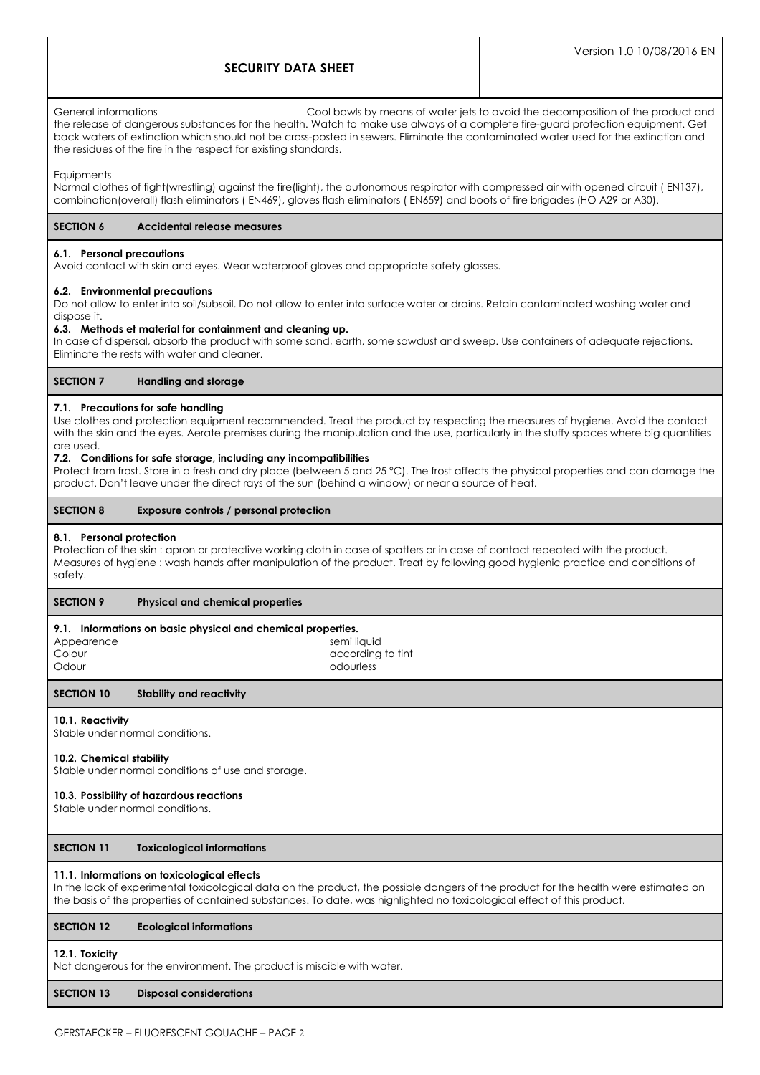# **SECURITY DATA SHEET**

General informations Cool bowls by means of water jets to avoid the decomposition of the product and the release of dangerous substances for the health. Watch to make use always of a complete fire-guard protection equipment. Get back waters of extinction which should not be cross-posted in sewers. Eliminate the contaminated water used for the extinction and the residues of the fire in the respect for existing standards.

#### **Equipments**

Normal clothes of fight(wrestling) against the fire(light), the autonomous respirator with compressed air with opened circuit ( EN137), combination(overall) flash eliminators ( EN469), gloves flash eliminators ( EN659) and boots of fire brigades (HO A29 or A30).

# **SECTION 6 Accidental release measures**

#### **6.1. Personal precautions**

Avoid contact with skin and eyes. Wear waterproof gloves and appropriate safety glasses.

#### **6.2. Environmental precautions**

Do not allow to enter into soil/subsoil. Do not allow to enter into surface water or drains. Retain contaminated washing water and dispose it.

#### **6.3. Methods et material for containment and cleaning up.**

In case of dispersal, absorb the product with some sand, earth, some sawdust and sweep. Use containers of adequate rejections. Eliminate the rests with water and cleaner.

#### **SECTION 7 Handling and storage**

### **7.1. Precautions for safe handling**

Use clothes and protection equipment recommended. Treat the product by respecting the measures of hygiene. Avoid the contact with the skin and the eyes. Aerate premises during the manipulation and the use, particularly in the stuffy spaces where big quantities are used.

#### **7.2. Conditions for safe storage, including any incompatibilities**

Protect from frost. Store in a fresh and dry place (between 5 and 25 °C). The frost affects the physical properties and can damage the product. Don't leave under the direct rays of the sun (behind a window) or near a source of heat.

## **SECTION 8 Exposure controls / personal protection**

#### **8.1. Personal protection**

Protection of the skin : apron or protective working cloth in case of spatters or in case of contact repeated with the product. Measures of hygiene : wash hands after manipulation of the product. Treat by following good hygienic practice and conditions of safety.

### **SECTION 9 Physical and chemical properties**

### **9.1. Informations on basic physical and chemical properties.**

| Appearene |
|-----------|
| Colour    |
| Odour     |

Appearence semi liquid semi liquid according to tint Odour odourless

#### **SECTION 10 Stability and reactivity**

### **10.1. Reactivity**

Stable under normal conditions.

# **10.2. Chemical stability**

Stable under normal conditions of use and storage.

### **10.3. Possibility of hazardous reactions**

Stable under normal conditions.

# **SECTION 11 Toxicological informations**

### **11.1. Informations on toxicological effects**

In the lack of experimental toxicological data on the product, the possible dangers of the product for the health were estimated on the basis of the properties of contained substances. To date, was highlighted no toxicological effect of this product.

### **SECTION 12 Ecological informations**

#### **12.1. Toxicity**

Not dangerous for the environment. The product is miscible with water.

# **SECTION 13 Disposal considerations**